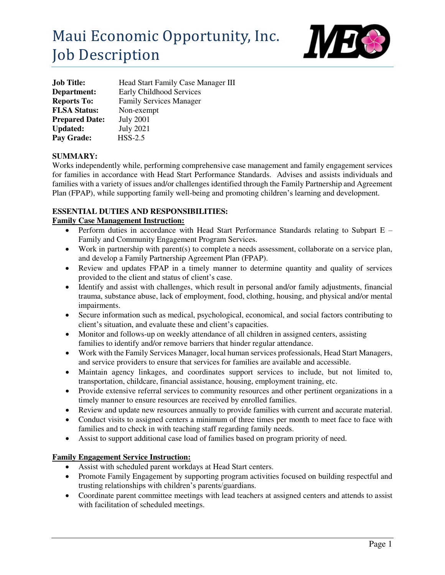# Maui Economic Opportunity, Inc. Job Description



| <b>Job Title:</b>     | Head Start Family Case Manager III |
|-----------------------|------------------------------------|
| Department:           | Early Childhood Services           |
| <b>Reports To:</b>    | <b>Family Services Manager</b>     |
| <b>FLSA Status:</b>   | Non-exempt                         |
| <b>Prepared Date:</b> | <b>July 2001</b>                   |
| <b>Updated:</b>       | <b>July 2021</b>                   |
| Pay Grade:            | $HSS-2.5$                          |

## **SUMMARY:**

Works independently while, performing comprehensive case management and family engagement services for families in accordance with Head Start Performance Standards. Advises and assists individuals and families with a variety of issues and/or challenges identified through the Family Partnership and Agreement Plan (FPAP), while supporting family well-being and promoting children's learning and development.

### **ESSENTIAL DUTIES AND RESPONSIBILITIES:**

#### **Family Case Management Instruction:**

- Perform duties in accordance with Head Start Performance Standards relating to Subpart E Family and Community Engagement Program Services.
- Work in partnership with parent(s) to complete a needs assessment, collaborate on a service plan, and develop a Family Partnership Agreement Plan (FPAP).
- Review and updates FPAP in a timely manner to determine quantity and quality of services provided to the client and status of client's case.
- Identify and assist with challenges, which result in personal and/or family adjustments, financial trauma, substance abuse, lack of employment, food, clothing, housing, and physical and/or mental impairments.
- Secure information such as medical, psychological, economical, and social factors contributing to client's situation, and evaluate these and client's capacities.
- Monitor and follows-up on weekly attendance of all children in assigned centers, assisting families to identify and/or remove barriers that hinder regular attendance.
- Work with the Family Services Manager, local human services professionals, Head Start Managers, and service providers to ensure that services for families are available and accessible.
- Maintain agency linkages, and coordinates support services to include, but not limited to, transportation, childcare, financial assistance, housing, employment training, etc.
- Provide extensive referral services to community resources and other pertinent organizations in a timely manner to ensure resources are received by enrolled families.
- Review and update new resources annually to provide families with current and accurate material.
- Conduct visits to assigned centers a minimum of three times per month to meet face to face with families and to check in with teaching staff regarding family needs.
- Assist to support additional case load of families based on program priority of need.

## **Family Engagement Service Instruction:**

- Assist with scheduled parent workdays at Head Start centers.
- Promote Family Engagement by supporting program activities focused on building respectful and trusting relationships with children's parents/guardians.
- Coordinate parent committee meetings with lead teachers at assigned centers and attends to assist with facilitation of scheduled meetings.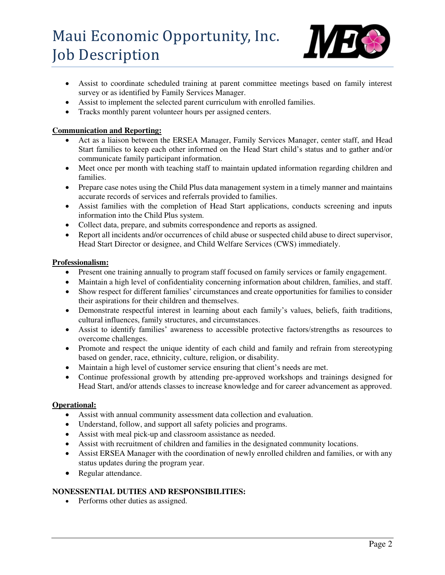# Maui Economic Opportunity, Inc. Job Description



- Assist to coordinate scheduled training at parent committee meetings based on family interest survey or as identified by Family Services Manager.
- Assist to implement the selected parent curriculum with enrolled families.
- Tracks monthly parent volunteer hours per assigned centers.

## **Communication and Reporting:**

- Act as a liaison between the ERSEA Manager, Family Services Manager, center staff, and Head Start families to keep each other informed on the Head Start child's status and to gather and/or communicate family participant information.
- Meet once per month with teaching staff to maintain updated information regarding children and families.
- Prepare case notes using the Child Plus data management system in a timely manner and maintains accurate records of services and referrals provided to families.
- Assist families with the completion of Head Start applications, conducts screening and inputs information into the Child Plus system.
- Collect data, prepare, and submits correspondence and reports as assigned.
- Report all incidents and/or occurrences of child abuse or suspected child abuse to direct supervisor, Head Start Director or designee, and Child Welfare Services (CWS) immediately.

### **Professionalism:**

- Present one training annually to program staff focused on family services or family engagement.
- Maintain a high level of confidentiality concerning information about children, families, and staff.
- Show respect for different families' circumstances and create opportunities for families to consider their aspirations for their children and themselves.
- Demonstrate respectful interest in learning about each family's values, beliefs, faith traditions, cultural influences, family structures, and circumstances.
- Assist to identify families' awareness to accessible protective factors/strengths as resources to overcome challenges.
- Promote and respect the unique identity of each child and family and refrain from stereotyping based on gender, race, ethnicity, culture, religion, or disability.
- Maintain a high level of customer service ensuring that client's needs are met.
- Continue professional growth by attending pre-approved workshops and trainings designed for Head Start, and/or attends classes to increase knowledge and for career advancement as approved.

## **Operational:**

- Assist with annual community assessment data collection and evaluation.
- Understand, follow, and support all safety policies and programs.
- Assist with meal pick-up and classroom assistance as needed.
- Assist with recruitment of children and families in the designated community locations.
- Assist ERSEA Manager with the coordination of newly enrolled children and families, or with any status updates during the program year.
- Regular attendance.

## **NONESSENTIAL DUTIES AND RESPONSIBILITIES:**

• Performs other duties as assigned.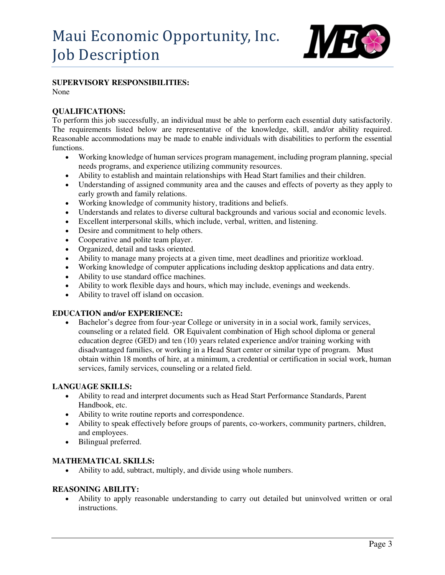

#### **SUPERVISORY RESPONSIBILITIES:**

None

#### **QUALIFICATIONS:**

To perform this job successfully, an individual must be able to perform each essential duty satisfactorily. The requirements listed below are representative of the knowledge, skill, and/or ability required. Reasonable accommodations may be made to enable individuals with disabilities to perform the essential functions.

- Working knowledge of human services program management, including program planning, special needs programs, and experience utilizing community resources.
- Ability to establish and maintain relationships with Head Start families and their children.
- Understanding of assigned community area and the causes and effects of poverty as they apply to early growth and family relations.
- Working knowledge of community history, traditions and beliefs.
- Understands and relates to diverse cultural backgrounds and various social and economic levels.
- Excellent interpersonal skills, which include, verbal, written, and listening.
- Desire and commitment to help others.
- Cooperative and polite team player.
- Organized, detail and tasks oriented.
- Ability to manage many projects at a given time, meet deadlines and prioritize workload.
- Working knowledge of computer applications including desktop applications and data entry.
- Ability to use standard office machines.
- Ability to work flexible days and hours, which may include, evenings and weekends.
- Ability to travel off island on occasion.

#### **EDUCATION and/or EXPERIENCE:**

 Bachelor's degree from four-year College or university in in a social work, family services, counseling or a related field. OR Equivalent combination of High school diploma or general education degree (GED) and ten (10) years related experience and/or training working with disadvantaged families, or working in a Head Start center or similar type of program. Must obtain within 18 months of hire, at a minimum, a credential or certification in social work, human services, family services, counseling or a related field.

#### **LANGUAGE SKILLS:**

- Ability to read and interpret documents such as Head Start Performance Standards, Parent Handbook, etc.
- Ability to write routine reports and correspondence.
- Ability to speak effectively before groups of parents, co-workers, community partners, children, and employees.
- Bilingual preferred.

#### **MATHEMATICAL SKILLS:**

Ability to add, subtract, multiply, and divide using whole numbers.

#### **REASONING ABILITY:**

 Ability to apply reasonable understanding to carry out detailed but uninvolved written or oral instructions.